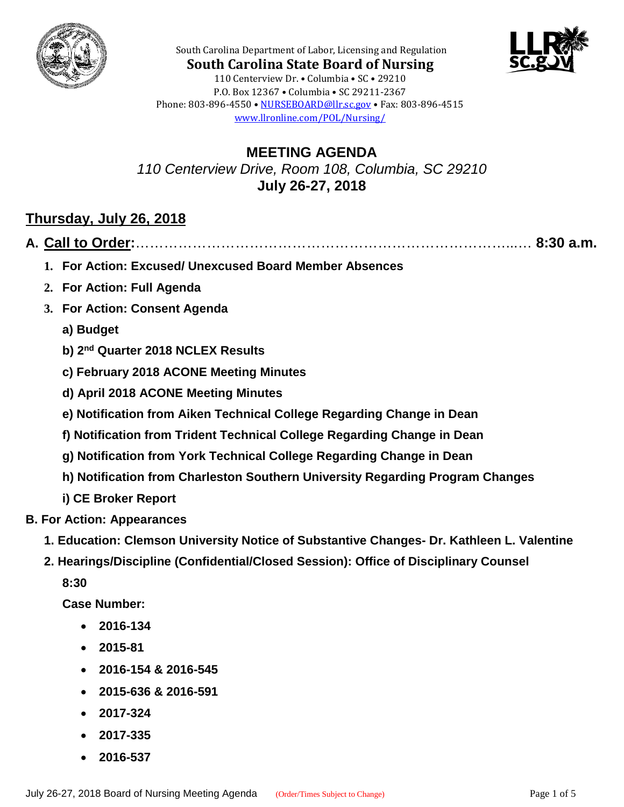



**South Carolina State Board of Nursing** 110 Centerview Dr. • Columbia • SC • 29210 P.O. Box 12367 • Columbia • SC 29211-2367 Phone: 803-896-4550 • [NURSEBOARD@llr.sc.gov](mailto:contactllr@llr.sc.gov) • Fax: 803-896-4515 [www.llronline.com/POL/Nursing/](http://www.llronline.com/POL/Nursing/)

South Carolina Department of Labor, Licensing and Regulation

**MEETING AGENDA** *110 Centerview Drive, Room 108, Columbia, SC 29210* **July 26-27, 2018**

# **Thursday, July 26, 2018**

|--|--|--|

- **1. For Action: Excused/ Unexcused Board Member Absences**
- **2. For Action: Full Agenda**
- **3. For Action: Consent Agenda**
	- **a) Budget**
	- **b) 2nd Quarter 2018 NCLEX Results**
	- **c) February 2018 ACONE Meeting Minutes**
	- **d) April 2018 ACONE Meeting Minutes**
	- **e) Notification from Aiken Technical College Regarding Change in Dean**
	- **f) Notification from Trident Technical College Regarding Change in Dean**
	- **g) Notification from York Technical College Regarding Change in Dean**
	- **h) Notification from Charleston Southern University Regarding Program Changes**
	- **i) CE Broker Report**
- **B. For Action: Appearances**
	- **1. Education: Clemson University Notice of Substantive Changes- Dr. Kathleen L. Valentine**
	- **2. Hearings/Discipline (Confidential/Closed Session): Office of Disciplinary Counsel**

**8:30**

**Case Number:**

- **2016-134**
- **2015-81**
- **2016-154 & 2016-545**
- **2015-636 & 2016-591**
- **2017-324**
- **2017-335**
- **2016-537**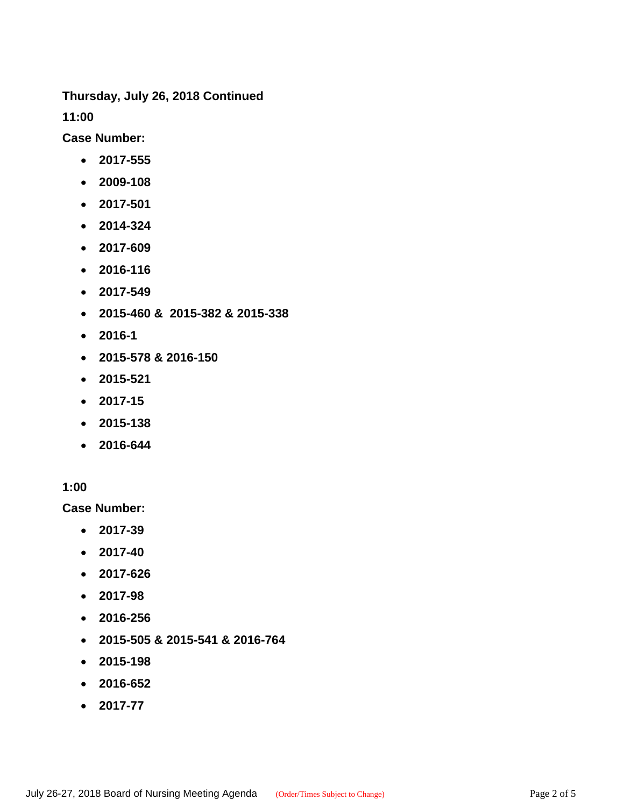**Thursday, July 26, 2018 Continued**

**11:00**

**Case Number:**

- **2017-555**
- **2009-108**
- **2017-501**
- **2014-324**
- **2017-609**
- **2016-116**
- **2017-549**
- **2015-460 & 2015-382 & 2015-338**
- **2016-1**
- **2015-578 & 2016-150**
- **2015-521**
- **2017-15**
- **2015-138**
- **2016-644**

#### **1:00**

**Case Number:**

- **2017-39**
- **2017-40**
- **2017-626**
- **2017-98**
- **2016-256**
- **2015-505 & 2015-541 & 2016-764**
- **2015-198**
- **2016-652**
- **2017-77**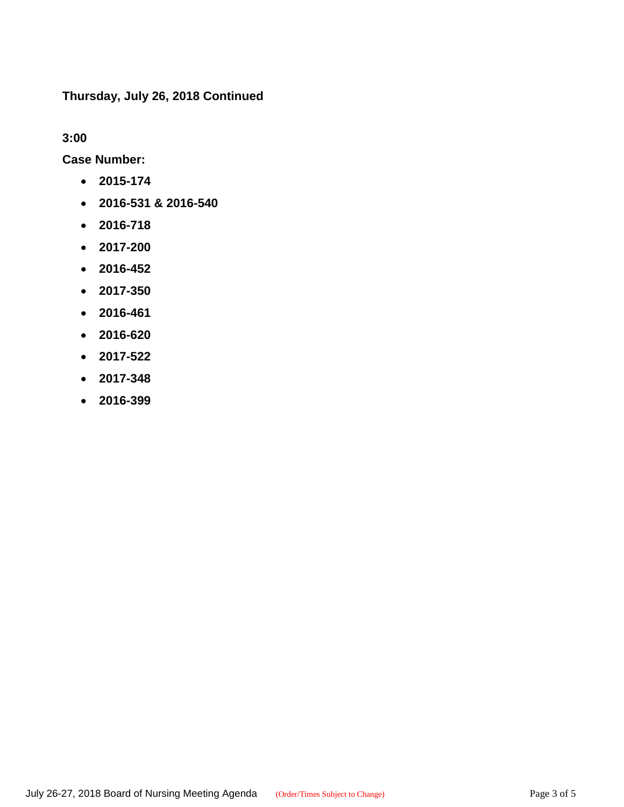**Thursday, July 26, 2018 Continued**

**3:00**

**Case Number:**

- **2015-174**
- **2016-531 & 2016-540**
- **2016-718**
- **2017-200**
- **2016-452**
- **2017-350**
- **2016-461**
- **2016-620**
- **2017-522**
- **2017-348**
- **2016-399**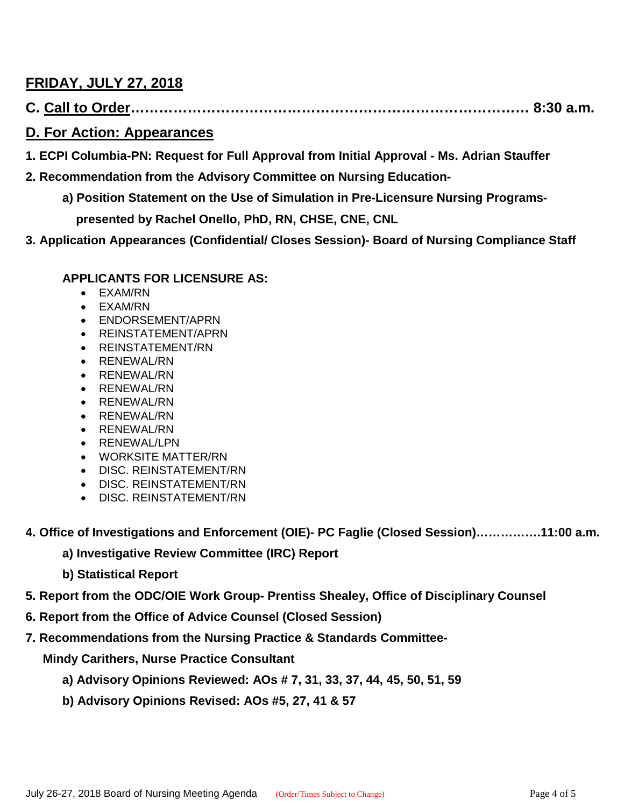# **FRIDAY, JULY 27, 2018**

**C. Call to Order………………………………………………………………………… 8:30 a.m.**

## **D. For Action: Appearances**

- **1. ECPI Columbia-PN: Request for Full Approval from Initial Approval - Ms. Adrian Stauffer**
- **2. Recommendation from the Advisory Committee on Nursing Education**
	- **a) Position Statement on the Use of Simulation in Pre-Licensure Nursing Programs presented by Rachel Onello, PhD, RN, CHSE, CNE, CNL**
- **3. Application Appearances (Confidential/ Closes Session)- Board of Nursing Compliance Staff**

#### **APPLICANTS FOR LICENSURE AS:**

- EXAM/RN
- EXAM/RN
- ENDORSEMENT/APRN
- REINSTATEMENT/APRN
- REINSTATEMENT/RN
- RENEWAL/RN
- RENEWAL/RN
- RENEWAL/RN
- RENEWAL/RN
- RENEWAL/RN
- RENEWAL/RN
- RENEWAL/LPN
- WORKSITE MATTER/RN
- DISC. REINSTATEMENT/RN
- DISC. REINSTATEMENT/RN
- DISC. REINSTATEMENT/RN
- **4. Office of Investigations and Enforcement (OIE)- PC Faglie (Closed Session)…………….11:00 a.m.**
	- **a) Investigative Review Committee (IRC) Report**
	- **b) Statistical Report**
- **5. Report from the ODC/OIE Work Group- Prentiss Shealey, Office of Disciplinary Counsel**
- **6. Report from the Office of Advice Counsel (Closed Session)**
- **7. Recommendations from the Nursing Practice & Standards Committee-**

 **Mindy Carithers, Nurse Practice Consultant**

- **a) Advisory Opinions Reviewed: AOs # 7, 31, 33, 37, 44, 45, 50, 51, 59**
- **b) Advisory Opinions Revised: AOs #5, 27, 41 & 57**